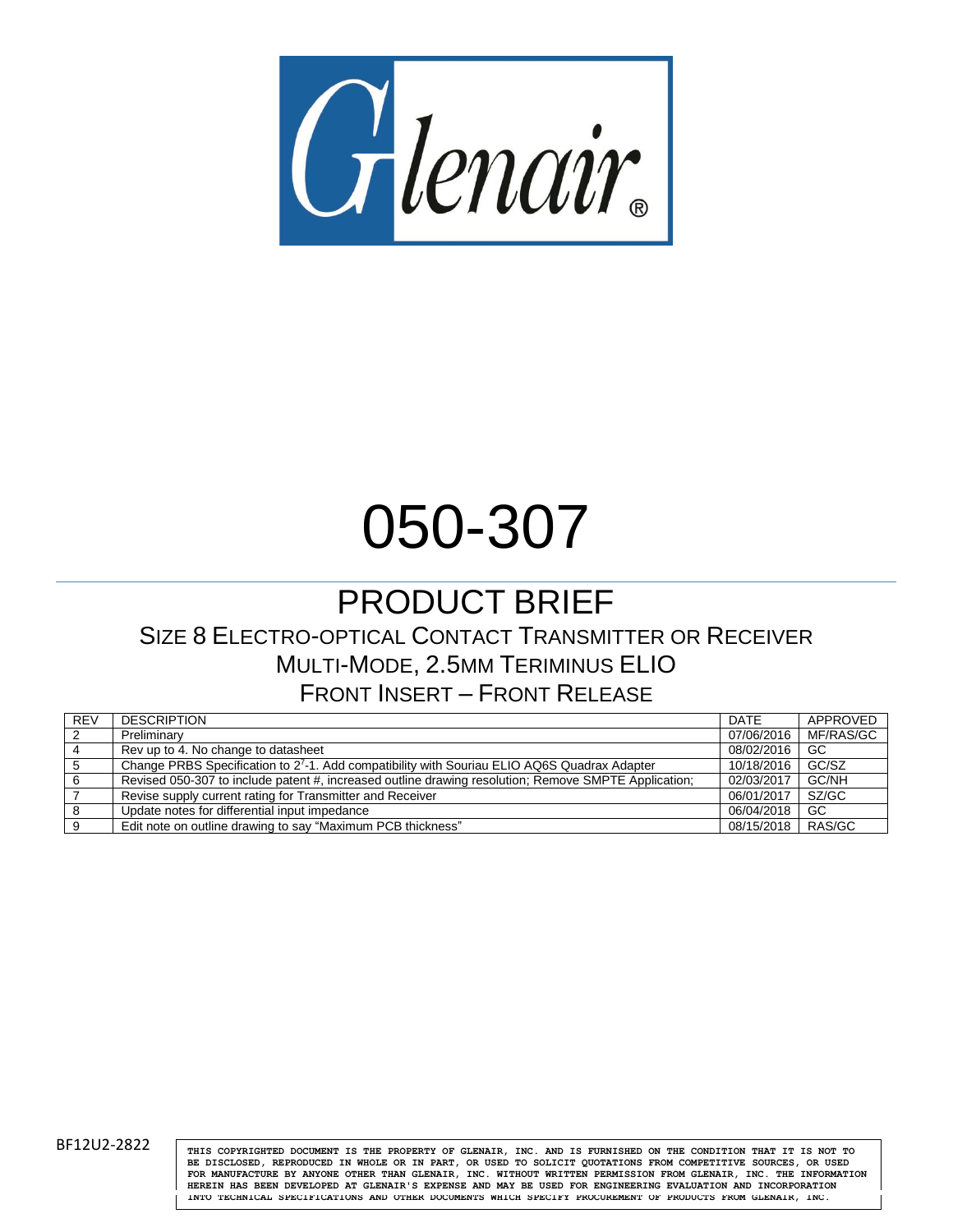

# 050-307

# PRODUCT BRIEF SIZE 8 ELECTRO-OPTICAL CONTACT TRANSMITTER OR RECEIVER MULTI-MODE, 2.5MM TERIMINUS ELIO FRONT INSERT – FRONT RELEASE

| <b>REV</b>     | <b>DESCRIPTION</b>                                                                                   | <b>DATE</b>         | APPROVED  |
|----------------|------------------------------------------------------------------------------------------------------|---------------------|-----------|
| $\overline{2}$ | Preliminary                                                                                          | 07/06/2016          | MF/RAS/GC |
| $\overline{4}$ | Rev up to 4. No change to datasheet                                                                  | 08/02/2016          | -GC       |
| -5             | Change PRBS Specification to 27-1. Add compatibility with Souriau ELIO AQ6S Quadrax Adapter          | 10/18/2016          | GC/SZ     |
| -6             | Revised 050-307 to include patent #, increased outline drawing resolution; Remove SMPTE Application; | 02/03/2017          | GC/NH     |
|                | Revise supply current rating for Transmitter and Receiver                                            | 06/01/2017          | SZ/GC     |
| - 8            | Update notes for differential input impedance                                                        | 06/04/2018          | -GC       |
| 9              | Edit note on outline drawing to say "Maximum PCB thickness"                                          | 08/15/2018   RAS/GC |           |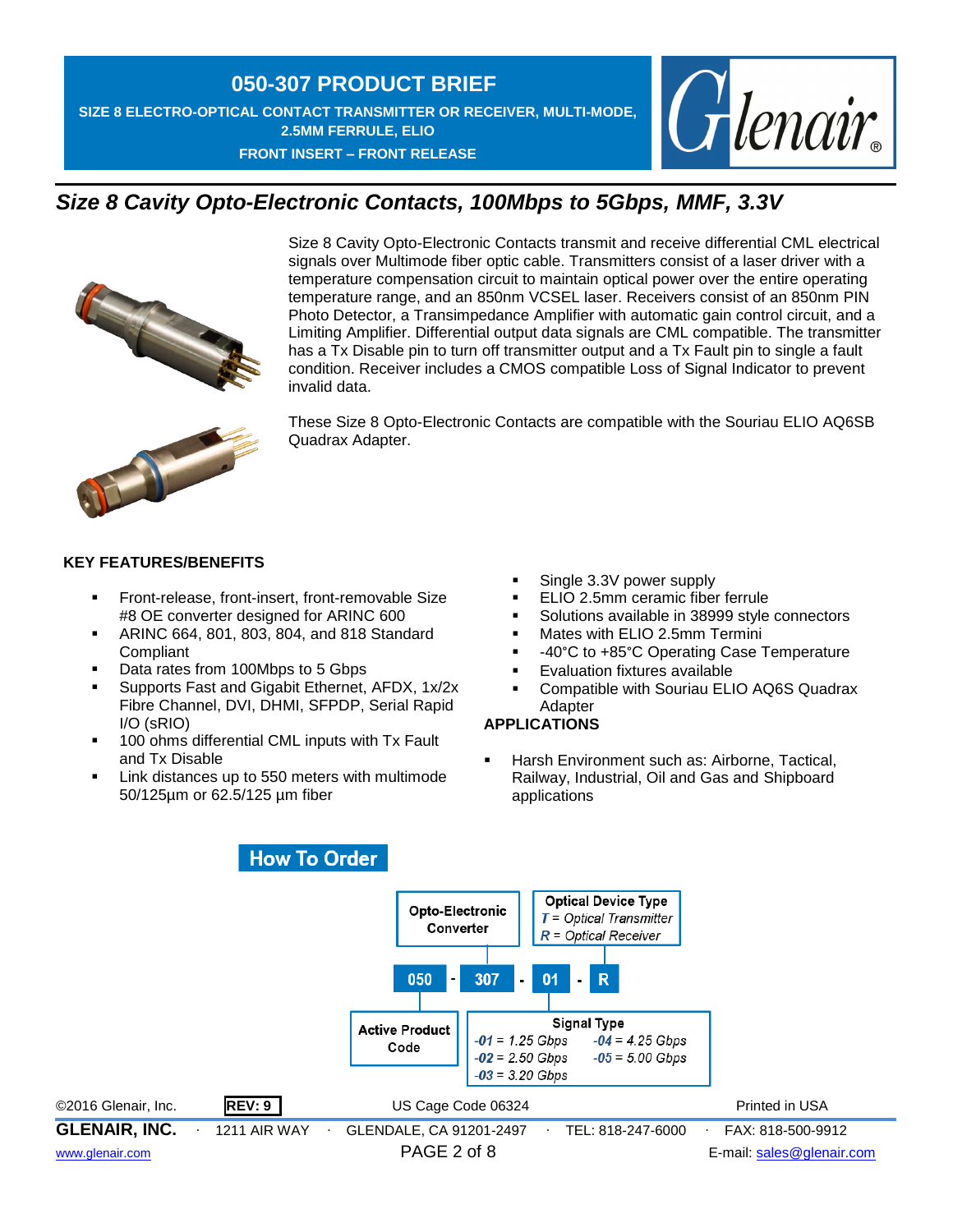## **050-307 PRODUCT BRIEF SIZE 8 ELECTRO-OPTICAL CONTACT TRANSMITTER OR RECEIVER, MULTI-MODE, 2.5MM FERRULE, ELIO FRONT INSERT – FRONT RELEASE**



# *Size 8 Cavity Opto-Electronic Contacts, 100Mbps to 5Gbps, MMF, 3.3V*



Size 8 Cavity Opto-Electronic Contacts transmit and receive differential CML electrical signals over Multimode fiber optic cable. Transmitters consist of a laser driver with a temperature compensation circuit to maintain optical power over the entire operating temperature range, and an 850nm VCSEL laser. Receivers consist of an 850nm PIN Photo Detector, a Transimpedance Amplifier with automatic gain control circuit, and a Limiting Amplifier. Differential output data signals are CML compatible. The transmitter has a Tx Disable pin to turn off transmitter output and a Tx Fault pin to single a fault condition. Receiver includes a CMOS compatible Loss of Signal Indicator to prevent invalid data.



These Size 8 Opto-Electronic Contacts are compatible with the Souriau ELIO AQ6SB Quadrax Adapter.

## **KEY FEATURES/BENEFITS**

- Front-release, front-insert, front-removable Size #8 OE converter designed for ARINC 600
- **ARINC 664, 801, 803, 804, and 818 Standard** Compliant
- Data rates from 100Mbps to 5 Gbps
- Supports Fast and Gigabit Ethernet, AFDX, 1x/2x Fibre Channel, DVI, DHMI, SFPDP, Serial Rapid I/O (sRIO)
- **100 ohms differential CML inputs with Tx Fault** and Tx Disable
- Link distances up to 550 meters with multimode 50/125µm or 62.5/125 µm fiber
- Single 3.3V power supply
- ELIO 2.5mm ceramic fiber ferrule
- Solutions available in 38999 style connectors
- Mates with ELIO 2.5mm Termini
- -40°C to +85°C Operating Case Temperature
- Evaluation fixtures available
- Compatible with Souriau ELIO AQ6S Quadrax **Adapter**

## **APPLICATIONS**

 Harsh Environment such as: Airborne, Tactical, Railway, Industrial, Oil and Gas and Shipboard applications

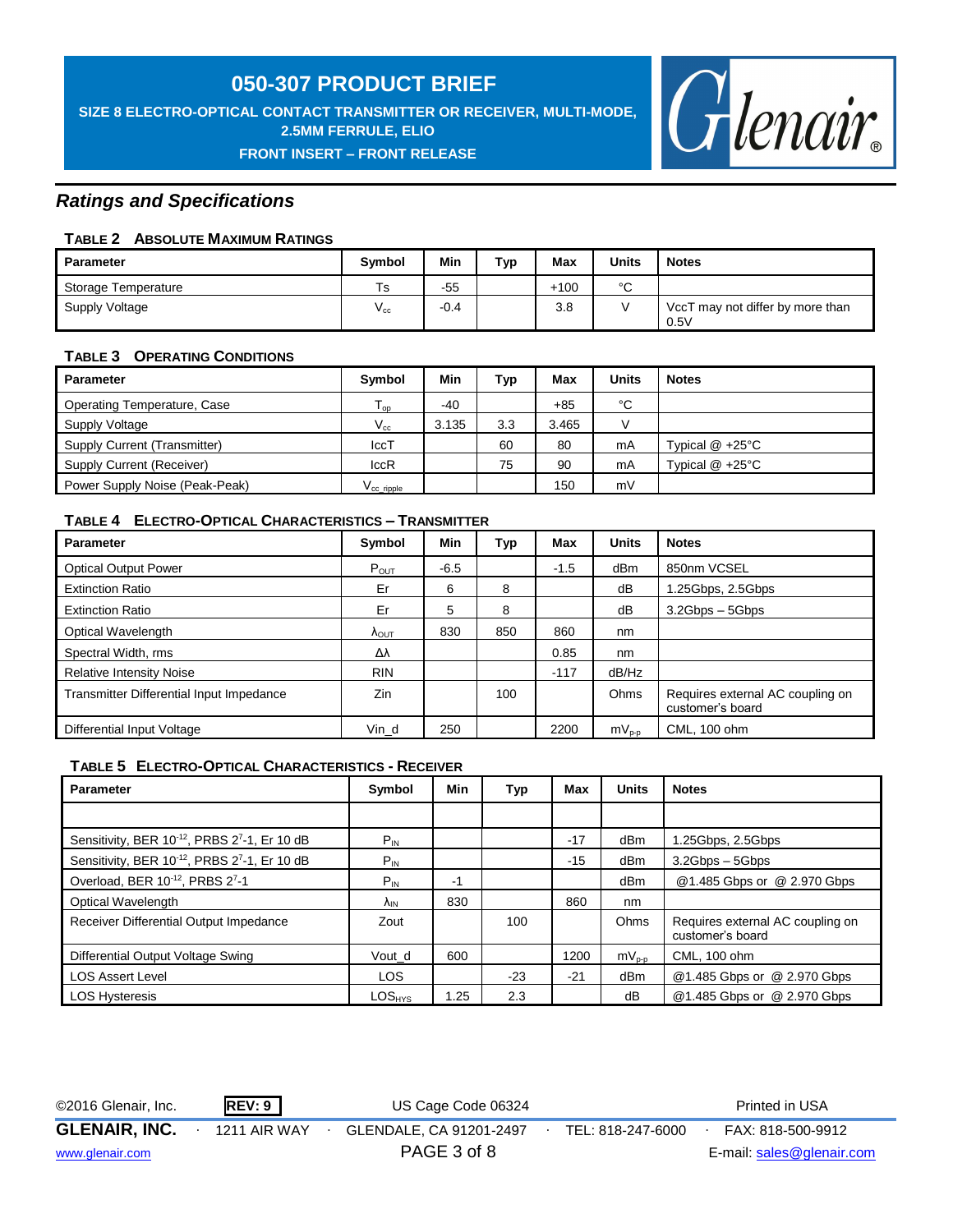**SIZE 8 ELECTRO-OPTICAL CONTACT TRANSMITTER OR RECEIVER, MULTI-MODE, 2.5MM FERRULE, ELIO**





## *Ratings and Specifications*

## **TABLE 2 ABSOLUTE MAXIMUM RATINGS**

| <b>Parameter</b>    | <b>Symbol</b> | Min    | Typ | Max    | <b>Units</b> | <b>Notes</b>                             |
|---------------------|---------------|--------|-----|--------|--------------|------------------------------------------|
| Storage Temperature | $T_{\rm S}$   | $-55$  |     | $+100$ | $\sim$<br>ັ  |                                          |
| Supply Voltage      | $V_{\rm cc}$  | $-0.4$ |     | 3.8    |              | VccT may not differ by more than<br>0.5V |

## **TABLE 3 OPERATING CONDITIONS**

| <b>Parameter</b>               | <b>Symbol</b>       | Min   | <b>Typ</b> | Max   | <b>Units</b> | <b>Notes</b>       |
|--------------------------------|---------------------|-------|------------|-------|--------------|--------------------|
| Operating Temperature, Case    | l op                | -40   |            | $+85$ | °C           |                    |
| Supply Voltage                 | $V_{\rm cc}$        | 3.135 | 3.3        | 3.465 |              |                    |
| Supply Current (Transmitter)   | IccT                |       | 60         | 80    | mA           | Typical $@ + 25°C$ |
| Supply Current (Receiver)      | IccR                |       | 75         | 90    | mA           | Typical $@ + 25°C$ |
| Power Supply Noise (Peak-Peak) | $V_{\rm CC}$ ripple |       |            | 150   | mV           |                    |

## **TABLE 4 ELECTRO-OPTICAL CHARACTERISTICS – TRANSMITTER**

| <b>Parameter</b>                         | Symbol                 | Min    | Тур | Max    | <b>Units</b>    | <b>Notes</b>                                         |
|------------------------------------------|------------------------|--------|-----|--------|-----------------|------------------------------------------------------|
| <b>Optical Output Power</b>              | $P_{OUT}$              | $-6.5$ |     | $-1.5$ | dB <sub>m</sub> | 850nm VCSEL                                          |
| <b>Extinction Ratio</b>                  | Er                     | 6      | 8   |        | dB              | 1.25Gbps, 2.5Gbps                                    |
| <b>Extinction Ratio</b>                  | Er                     | 5      | 8   |        | dB              | $3.2Gbps - 5Gbps$                                    |
| <b>Optical Wavelength</b>                | $\Lambda_{\text{OUT}}$ | 830    | 850 | 860    | nm              |                                                      |
| Spectral Width, rms                      | Δλ                     |        |     | 0.85   | nm              |                                                      |
| <b>Relative Intensity Noise</b>          | <b>RIN</b>             |        |     | $-117$ | dB/Hz           |                                                      |
| Transmitter Differential Input Impedance | Zin                    |        | 100 |        | Ohms            | Requires external AC coupling on<br>customer's board |
| Differential Input Voltage               | Vin d                  | 250    |     | 2200   | $mV_{p-p}$      | CML, 100 ohm                                         |

## **TABLE 5 ELECTRO-OPTICAL CHARACTERISTICS - RECEIVER**

| <b>Parameter</b>                                                      | Symbol         | Min  | Typ   | Max   | <b>Units</b> | <b>Notes</b>                                         |
|-----------------------------------------------------------------------|----------------|------|-------|-------|--------------|------------------------------------------------------|
|                                                                       |                |      |       |       |              |                                                      |
| Sensitivity, BER 10 <sup>-12</sup> , PRBS 2 <sup>7</sup> -1, Er 10 dB | $P_{IN}$       |      |       | $-17$ | dBm          | .25Gbps, 2.5Gbps                                     |
| Sensitivity, BER 10 <sup>-12</sup> , PRBS 2 <sup>7</sup> -1, Er 10 dB | $P_{IN}$       |      |       | $-15$ | dBm          | $3.2Gbps - 5Gbps$                                    |
| Overload, BER 10-12, PRBS 27-1                                        | $P_{IN}$       | -1   |       |       | dBm          | @1.485 Gbps or @ 2.970 Gbps                          |
| Optical Wavelength                                                    | $\Lambda_{IN}$ | 830  |       | 860   | nm           |                                                      |
| Receiver Differential Output Impedance                                | Zout           |      | 100   |       | Ohms         | Requires external AC coupling on<br>customer's board |
| Differential Output Voltage Swing                                     | Vout d         | 600  |       | 1200  | $mV_{p-p}$   | CML, 100 ohm                                         |
| <b>LOS Assert Level</b>                                               | <b>LOS</b>     |      | $-23$ | $-21$ | dBm          | @1.485 Gbps or @ 2.970 Gbps                          |
| <b>LOS Hysteresis</b>                                                 | $LOS_{HYS}$    | 1.25 | 2.3   |       | dB           | @1.485 Gbps or @ 2.970 Gbps                          |

©2016 Glenair, Inc. **REV: 9** US Cage Code 06324 Printed in USA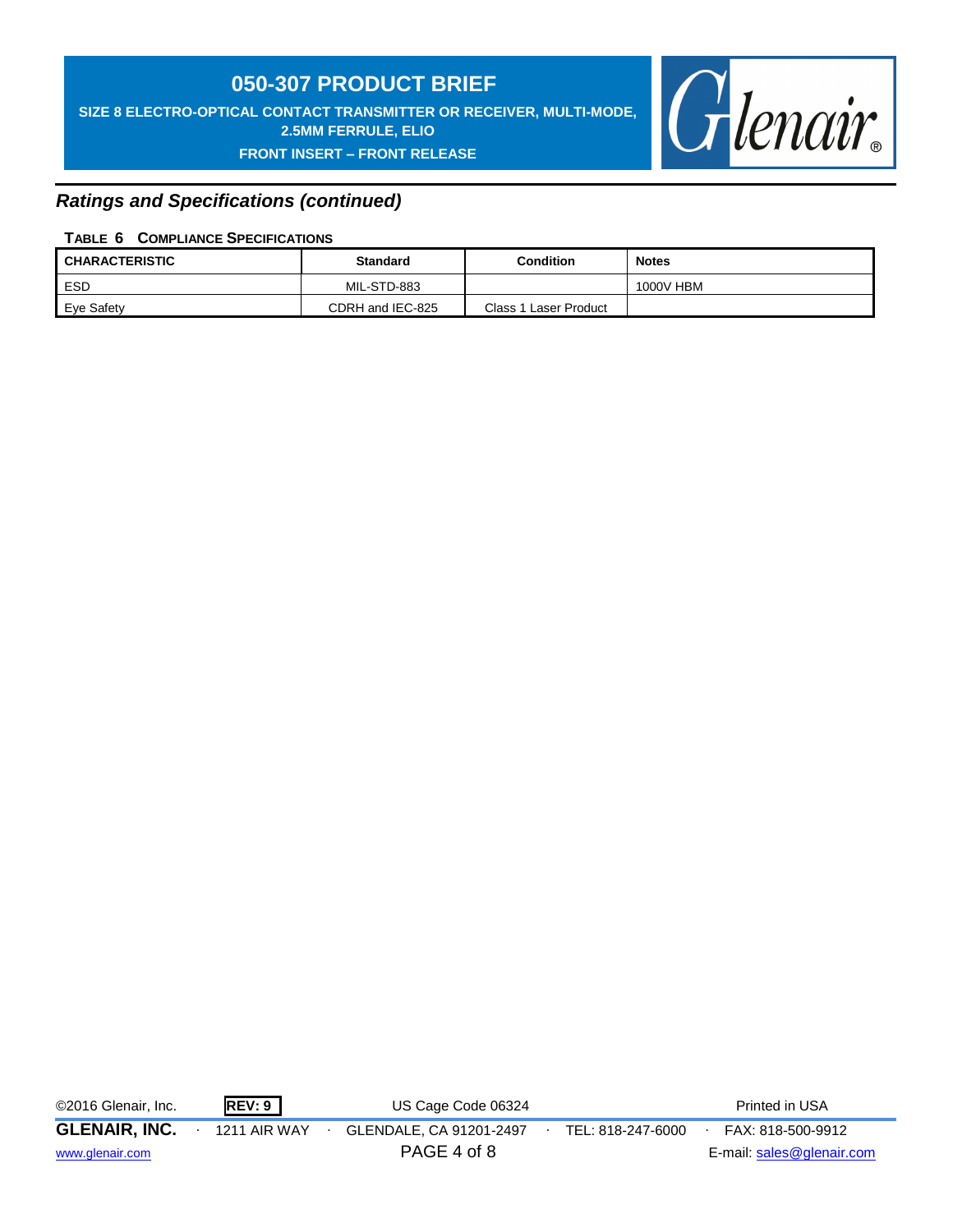**SIZE 8 ELECTRO-OPTICAL CONTACT TRANSMITTER OR RECEIVER, MULTI-MODE, 2.5MM FERRULE, ELIO**

## **FRONT INSERT – FRONT RELEASE**



## *Ratings and Specifications (continued)*

## **TABLE 6 COMPLIANCE SPECIFICATIONS**

| <b>CHARACTERISTIC</b> | <b>Standard</b>  | Condition             | <b>Notes</b> |
|-----------------------|------------------|-----------------------|--------------|
| <b>ESD</b>            | MIL-STD-883      |                       | 1000V HBM    |
| Eye Safety            | CDRH and IEC-825 | Class 1 Laser Product |              |

©2016 Glenair, Inc. **REV: 9** US Cage Code 06324 Printed in USA

**GLENAIR, INC.** ∙ 1211 AIR WAY ∙ GLENDALE, CA 91201-2497∙ TEL: 818-247-6000∙ FAX: 818-500-9912

[www.glenair.com](http://www.glenair.com/) **PAGE 4 of 8** E-mail: [sales@glenair.com](mailto:sales@glenair.com)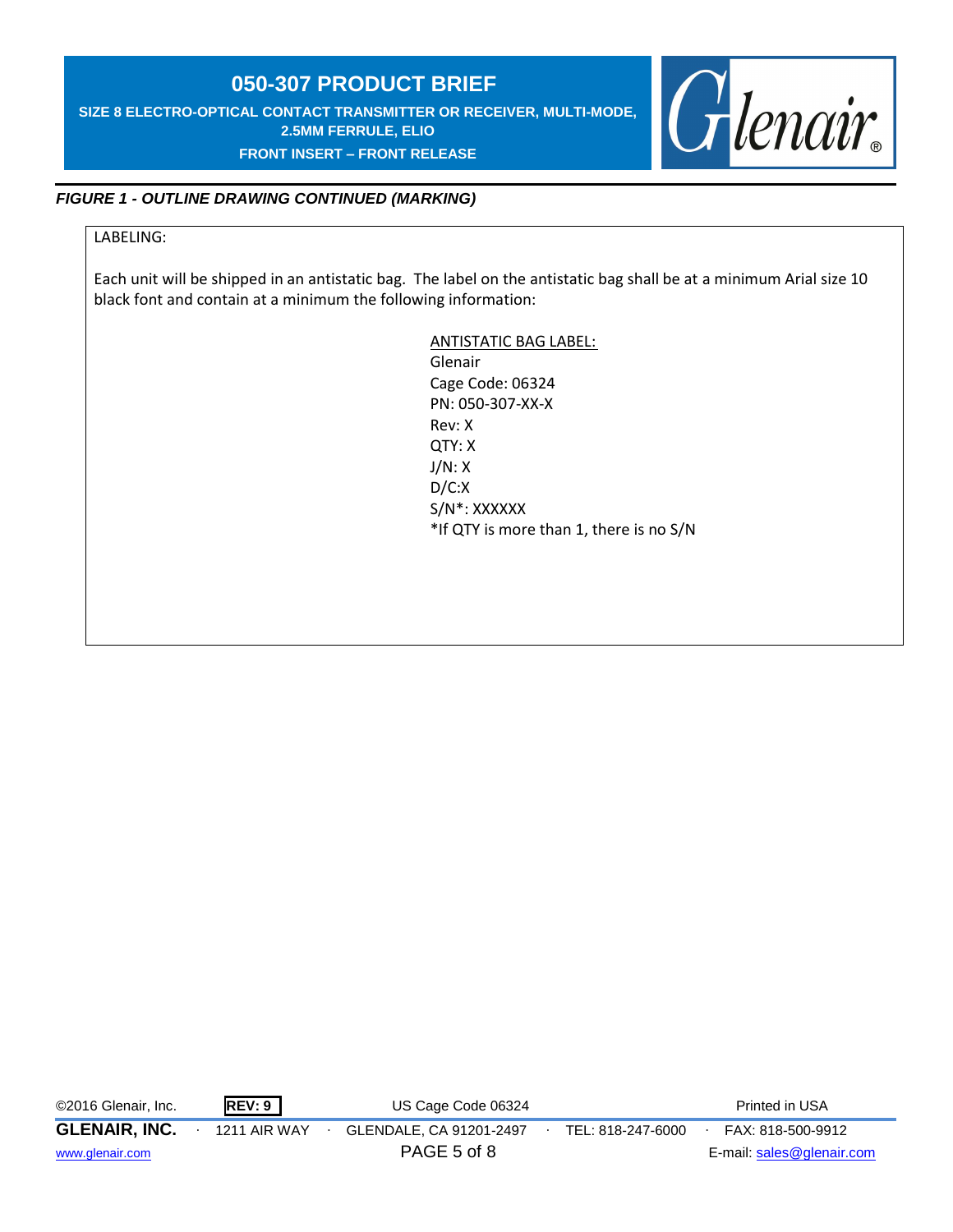**SIZE 8 ELECTRO-OPTICAL CONTACT TRANSMITTER OR RECEIVER, MULTI-MODE, 2.5MM FERRULE, ELIO FRONT INSERT – FRONT RELEASE** 



## *FIGURE 1 - OUTLINE DRAWING CONTINUED (MARKING)*

## LABELING:

Each unit will be shipped in an antistatic bag. The label on the antistatic bag shall be at a minimum Arial size 10 black font and contain at a minimum the following information:

> ANTISTATIC BAG LABEL: Glenair Cage Code: 06324 PN: 050-307-XX-X Rev: X QTY: X J/N: X D/C:X S/N\*: XXXXXX \*If QTY is more than 1, there is no S/N

©2016 Glenair, Inc. **REV: 9** US Cage Code 06324 Printed in USA

**GLENAIR, INC.** ∙ 1211 AIR WAY ∙ GLENDALE, CA 91201-2497∙ TEL: 818-247-6000∙ FAX: 818-500-9912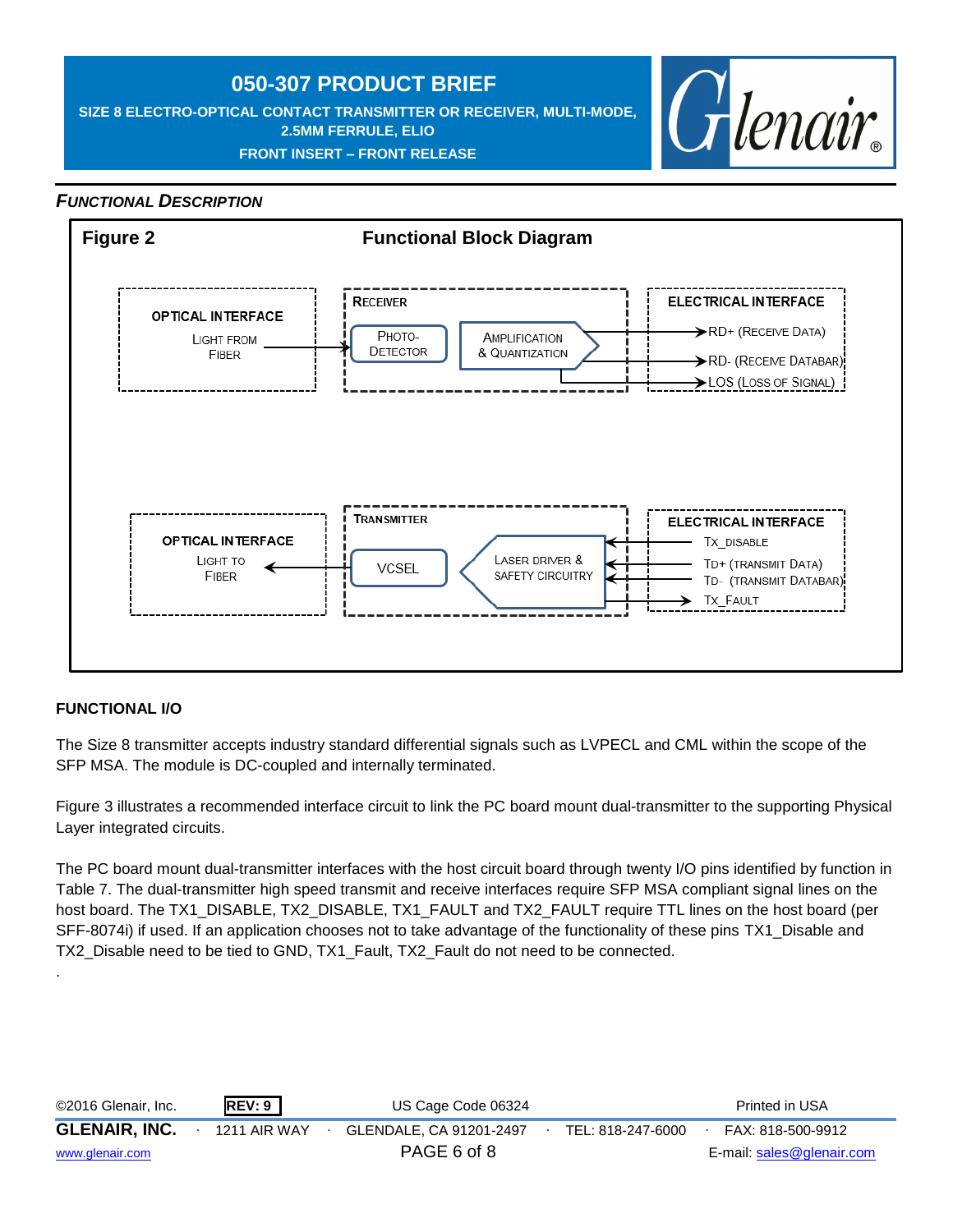**SIZE 8 ELECTRO-OPTICAL CONTACT TRANSMITTER OR RECEIVER, MULTI-MODE, 2.5MM FERRULE, ELIO FRONT INSERT – FRONT RELEASE** 



## *FUNCTIONAL DESCRIPTION*



## **FUNCTIONAL I/O**

.

The Size 8 transmitter accepts industry standard differential signals such as LVPECL and CML within the scope of the SFP MSA. The module is DC-coupled and internally terminated.

Figure 3 illustrates a recommended interface circuit to link the PC board mount dual-transmitter to the supporting Physical Layer integrated circuits.

The PC board mount dual-transmitter interfaces with the host circuit board through twenty I/O pins identified by function in Table 7. The dual-transmitter high speed transmit and receive interfaces require SFP MSA compliant signal lines on the host board. The TX1\_DISABLE, TX2\_DISABLE, TX1\_FAULT and TX2\_FAULT require TTL lines on the host board (per SFF-8074i) if used. If an application chooses not to take advantage of the functionality of these pins TX1\_Disable and TX2\_Disable need to be tied to GND, TX1\_Fault, TX2\_Fault do not need to be connected.

| ©2016 Glenair, Inc.  | <b>REV: 9</b>       | US Cage Code 06324      |                   | Printed in USA            |
|----------------------|---------------------|-------------------------|-------------------|---------------------------|
| <b>GLENAIR, INC.</b> | <b>1211 AIR WAY</b> | GLENDALE, CA 91201-2497 | TEL: 818-247-6000 | FAX: 818-500-9912         |
| www.glenair.com      |                     | PAGE 6 of 8             |                   | E-mail: sales@glenair.com |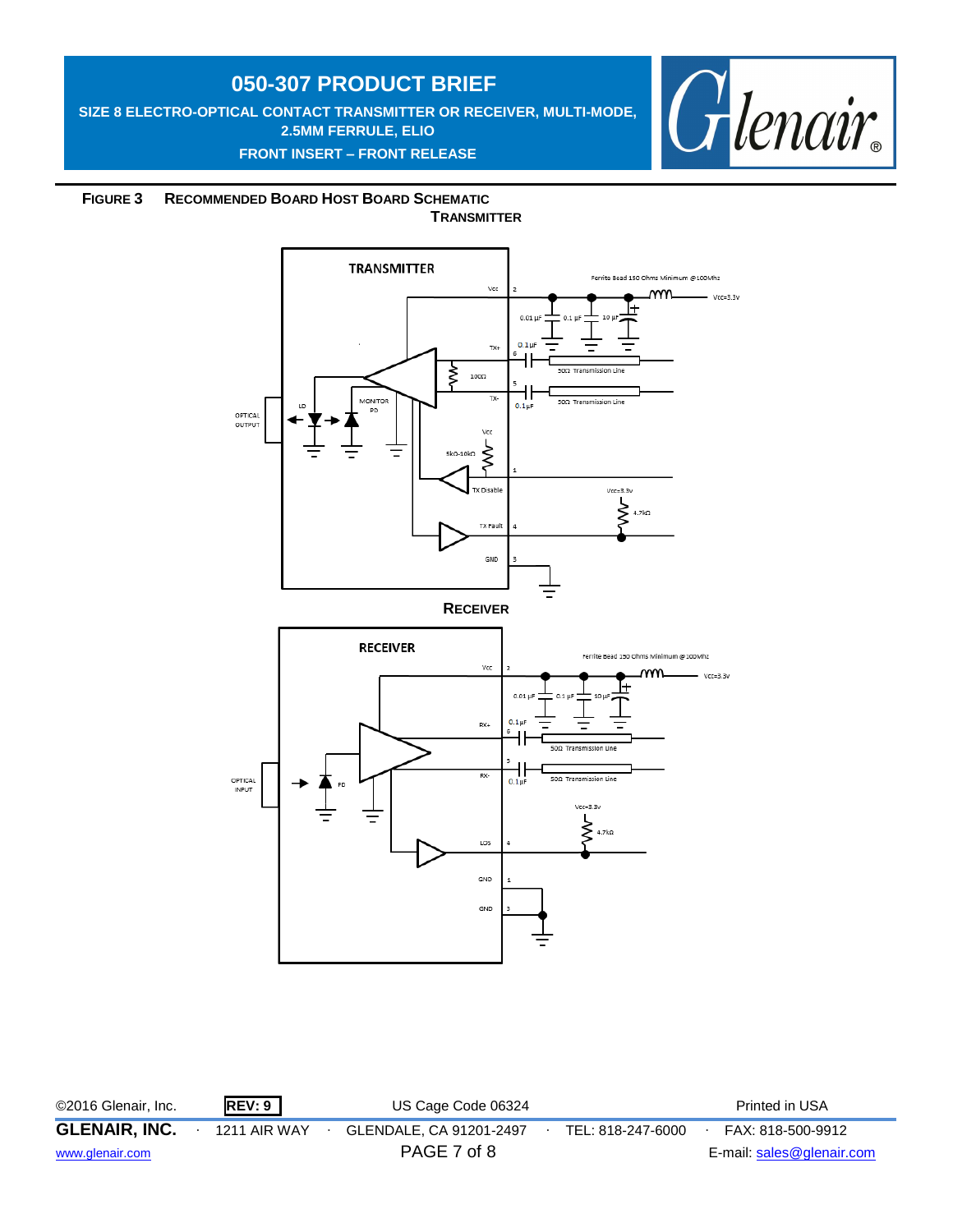**SIZE 8 ELECTRO-OPTICAL CONTACT TRANSMITTER OR RECEIVER, MULTI-MODE, 2.5MM FERRULE, ELIO FRONT INSERT – FRONT RELEASE** 



 **FIGURE 3 RECOMMENDED BOARD HOST BOARD SCHEMATIC TRANSMITTER**



©2016 Glenair, Inc. **REV: 9** US Cage Code 06324 Printed in USA **GLENAIR, INC.** ∙ 1211 AIR WAY ∙ GLENDALE, CA 91201-2497∙ TEL: 818-247-6000∙ FAX: 818-500-9912 [www.glenair.com](http://www.glenair.com/) **E-mail:** [sales@glenair.com](mailto:sales@glenair.com)